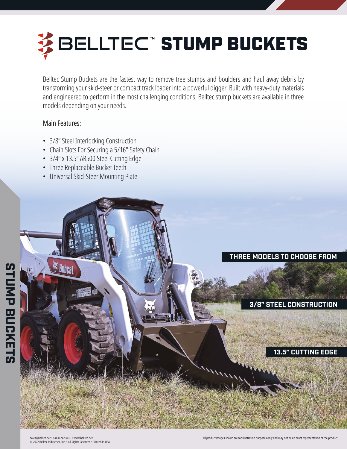# 多BELLTEC™STUMP BUCKETS

Belltec Stump Buckets are the fastest way to remove tree stumps and boulders and haul away debris by transforming your skid-steer or compact track loader into a powerful digger. Built with heavy-duty materials and engineered to perform in the most challenging conditions, Belltec stump buckets are available in three models depending on your needs.

# Main Features:

- 3/8" Steel Interlocking Construction
- Chain Slots For Securing a 5/16" Safety Chain
- 3/4" x 13.5" AR500 Steel Cutting Edge
- Three Replaceable Bucket Teeth
- Universal Skid-Steer Mounting Plate





**3/8" STEEL CONSTRUCTION**

## **13.5" CUTTING EDGE**